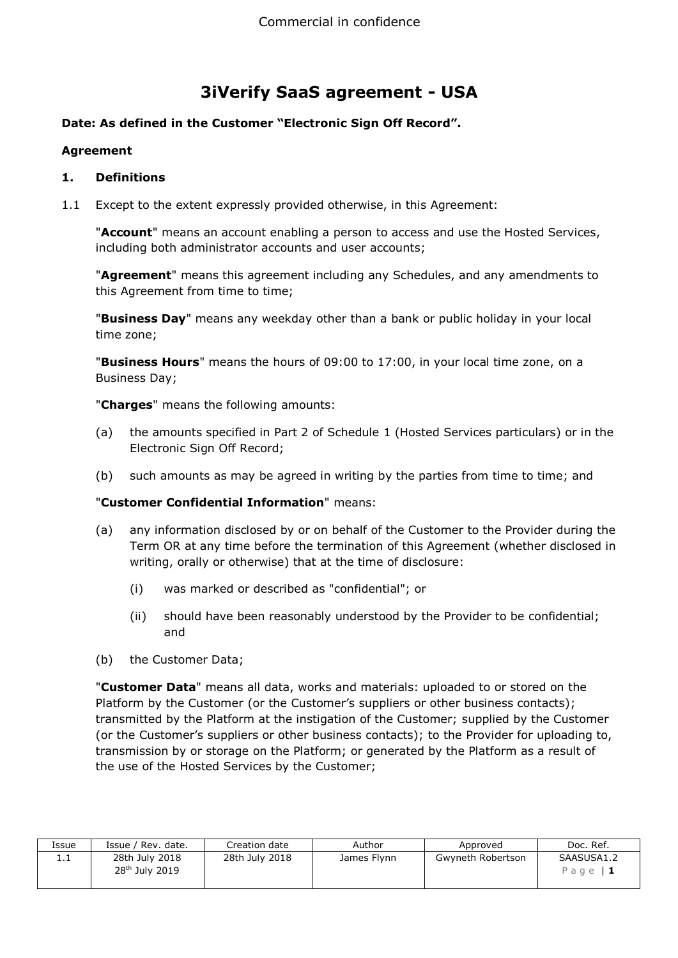# **3iVerify SaaS agreement - USA**

# **Date: As defined in the Customer "Electronic Sign Off Record".**

#### **Agreement**

#### **1. Definitions**

1.1 Except to the extent expressly provided otherwise, in this Agreement:

"**Account**" means an account enabling a person to access and use the Hosted Services, including both administrator accounts and user accounts;

"**Agreement**" means this agreement including any Schedules, and any amendments to this Agreement from time to time;

"**Business Day**" means any weekday other than a bank or public holiday in your local time zone;

"**Business Hours**" means the hours of 09:00 to 17:00, in your local time zone, on a Business Day;

"**Charges**" means the following amounts:

- (a) the amounts specified in Part 2 of Schedule 1 (Hosted Services particulars) or in the Electronic Sign Off Record;
- (b) such amounts as may be agreed in writing by the parties from time to time; and

# "**Customer Confidential Information**" means:

- (a) any information disclosed by or on behalf of the Customer to the Provider during the Term OR at any time before the termination of this Agreement (whether disclosed in writing, orally or otherwise) that at the time of disclosure:
	- (i) was marked or described as "confidential"; or
	- (ii) should have been reasonably understood by the Provider to be confidential; and
- (b) the Customer Data;

"**Customer Data**" means all data, works and materials: uploaded to or stored on the Platform by the Customer (or the Customer's suppliers or other business contacts); transmitted by the Platform at the instigation of the Customer; supplied by the Customer (or the Customer's suppliers or other business contacts); to the Provider for uploading to, transmission by or storage on the Platform; or generated by the Platform as a result of the use of the Hosted Services by the Customer;

| Issue | ' Rev. date.<br>Issue $/$                    | Creation date  | Author      | Approved          | Doc. Ref.               |
|-------|----------------------------------------------|----------------|-------------|-------------------|-------------------------|
| ⊥.⊥   | 28th July 2018<br>28 <sup>th</sup> July 2019 | 28th July 2018 | James Flynn | Gwyneth Robertson | SAASUSA1.2<br>Page $ 1$ |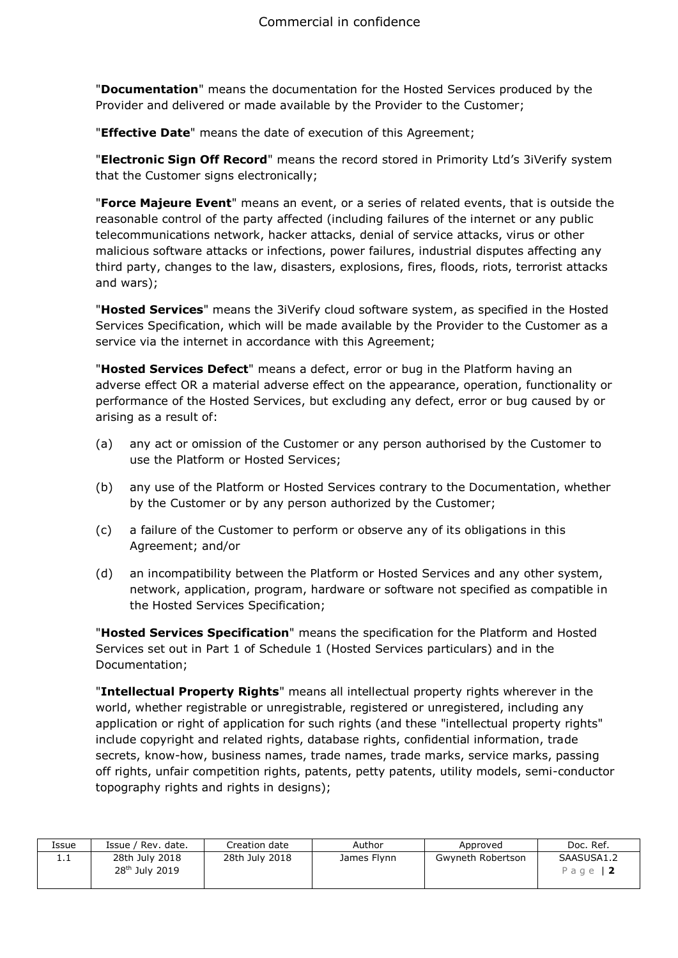"**Documentation**" means the documentation for the Hosted Services produced by the Provider and delivered or made available by the Provider to the Customer;

"**Effective Date**" means the date of execution of this Agreement;

"**Electronic Sign Off Record**" means the record stored in Primority Ltd's 3iVerify system that the Customer signs electronically;

"**Force Majeure Event**" means an event, or a series of related events, that is outside the reasonable control of the party affected (including failures of the internet or any public telecommunications network, hacker attacks, denial of service attacks, virus or other malicious software attacks or infections, power failures, industrial disputes affecting any third party, changes to the law, disasters, explosions, fires, floods, riots, terrorist attacks and wars);

"**Hosted Services**" means the 3iVerify cloud software system, as specified in the Hosted Services Specification, which will be made available by the Provider to the Customer as a service via the internet in accordance with this Agreement;

"**Hosted Services Defect**" means a defect, error or bug in the Platform having an adverse effect OR a material adverse effect on the appearance, operation, functionality or performance of the Hosted Services, but excluding any defect, error or bug caused by or arising as a result of:

- (a) any act or omission of the Customer or any person authorised by the Customer to use the Platform or Hosted Services;
- (b) any use of the Platform or Hosted Services contrary to the Documentation, whether by the Customer or by any person authorized by the Customer;
- (c) a failure of the Customer to perform or observe any of its obligations in this Agreement; and/or
- (d) an incompatibility between the Platform or Hosted Services and any other system, network, application, program, hardware or software not specified as compatible in the Hosted Services Specification;

"**Hosted Services Specification**" means the specification for the Platform and Hosted Services set out in Part 1 of Schedule 1 (Hosted Services particulars) and in the Documentation;

"**Intellectual Property Rights**" means all intellectual property rights wherever in the world, whether registrable or unregistrable, registered or unregistered, including any application or right of application for such rights (and these "intellectual property rights" include copyright and related rights, database rights, confidential information, trade secrets, know-how, business names, trade names, trade marks, service marks, passing off rights, unfair competition rights, patents, petty patents, utility models, semi-conductor topography rights and rights in designs);

| Issue    | Issue / Rev. date.                           | Creation date  | Author      | Approved          | Doc. Ref.               |
|----------|----------------------------------------------|----------------|-------------|-------------------|-------------------------|
| <b>.</b> | 28th July 2018<br>28 <sup>th</sup> July 2019 | 28th July 2018 | James Flynn | Gwyneth Robertson | SAASUSA1.2<br>Page $ 2$ |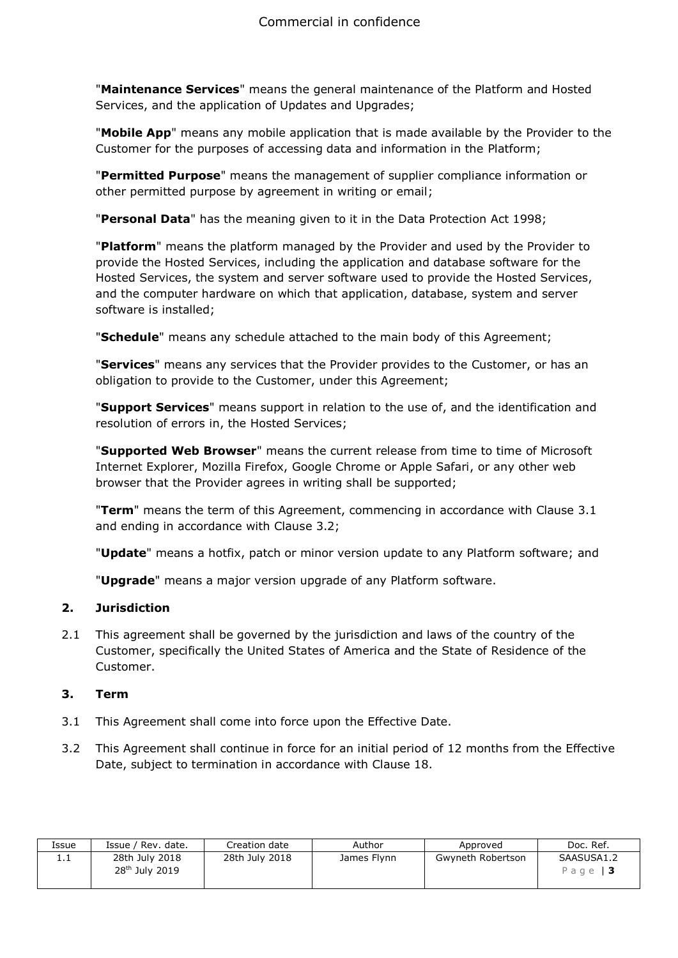"**Maintenance Services**" means the general maintenance of the Platform and Hosted Services, and the application of Updates and Upgrades;

"**Mobile App**" means any mobile application that is made available by the Provider to the Customer for the purposes of accessing data and information in the Platform;

"**Permitted Purpose**" means the management of supplier compliance information or other permitted purpose by agreement in writing or email;

"**Personal Data**" has the meaning given to it in the Data Protection Act 1998;

"**Platform**" means the platform managed by the Provider and used by the Provider to provide the Hosted Services, including the application and database software for the Hosted Services, the system and server software used to provide the Hosted Services, and the computer hardware on which that application, database, system and server software is installed;

"**Schedule**" means any schedule attached to the main body of this Agreement;

"**Services**" means any services that the Provider provides to the Customer, or has an obligation to provide to the Customer, under this Agreement;

"**Support Services**" means support in relation to the use of, and the identification and resolution of errors in, the Hosted Services;

"**Supported Web Browser**" means the current release from time to time of Microsoft Internet Explorer, Mozilla Firefox, Google Chrome or Apple Safari, or any other web browser that the Provider agrees in writing shall be supported;

"**Term**" means the term of this Agreement, commencing in accordance with Clause 3.1 and ending in accordance with Clause 3.2;

"**Update**" means a hotfix, patch or minor version update to any Platform software; and

"**Upgrade**" means a major version upgrade of any Platform software.

#### **2. Jurisdiction**

2.1 This agreement shall be governed by the jurisdiction and laws of the country of the Customer, specifically the United States of America and the State of Residence of the Customer.

# **3. Term**

- 3.1 This Agreement shall come into force upon the Effective Date.
- 3.2 This Agreement shall continue in force for an initial period of 12 months from the Effective Date, subject to termination in accordance with Clause 18.

| Issue    | Issue / Rev. date.                           | Creation date  | Author      | Approved          | Doc. Ref.              |
|----------|----------------------------------------------|----------------|-------------|-------------------|------------------------|
| <b>.</b> | 28th July 2018<br>28 <sup>th</sup> July 2019 | 28th July 2018 | James Flynn | Gwyneth Robertson | SAASUSA1.2<br>Page   3 |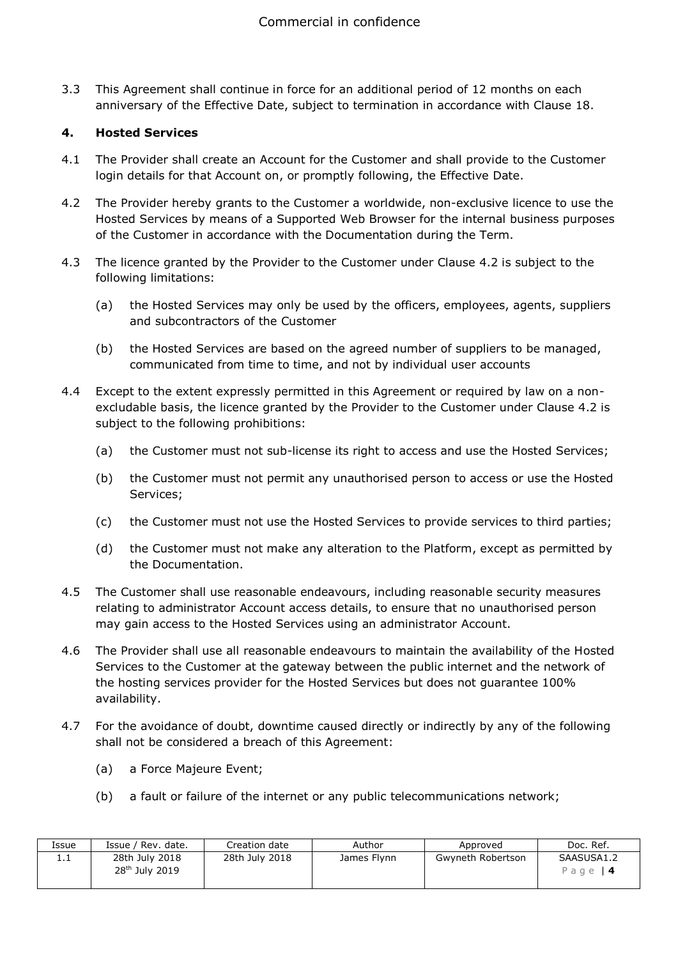3.3 This Agreement shall continue in force for an additional period of 12 months on each anniversary of the Effective Date, subject to termination in accordance with Clause 18.

# **4. Hosted Services**

- 4.1 The Provider shall create an Account for the Customer and shall provide to the Customer login details for that Account on, or promptly following, the Effective Date.
- 4.2 The Provider hereby grants to the Customer a worldwide, non-exclusive licence to use the Hosted Services by means of a Supported Web Browser for the internal business purposes of the Customer in accordance with the Documentation during the Term.
- 4.3 The licence granted by the Provider to the Customer under Clause 4.2 is subject to the following limitations:
	- (a) the Hosted Services may only be used by the officers, employees, agents, suppliers and subcontractors of the Customer
	- (b) the Hosted Services are based on the agreed number of suppliers to be managed, communicated from time to time, and not by individual user accounts
- 4.4 Except to the extent expressly permitted in this Agreement or required by law on a nonexcludable basis, the licence granted by the Provider to the Customer under Clause 4.2 is subject to the following prohibitions:
	- (a) the Customer must not sub-license its right to access and use the Hosted Services;
	- (b) the Customer must not permit any unauthorised person to access or use the Hosted Services;
	- (c) the Customer must not use the Hosted Services to provide services to third parties;
	- (d) the Customer must not make any alteration to the Platform, except as permitted by the Documentation.
- 4.5 The Customer shall use reasonable endeavours, including reasonable security measures relating to administrator Account access details, to ensure that no unauthorised person may gain access to the Hosted Services using an administrator Account.
- 4.6 The Provider shall use all reasonable endeavours to maintain the availability of the Hosted Services to the Customer at the gateway between the public internet and the network of the hosting services provider for the Hosted Services but does not guarantee 100% availability.
- 4.7 For the avoidance of doubt, downtime caused directly or indirectly by any of the following shall not be considered a breach of this Agreement:
	- (a) a Force Majeure Event;
	- (b) a fault or failure of the internet or any public telecommunications network;

| Issue    | ' Rev. date.<br>Issue /                      | Creation date  | Author      | Approved          | Doc. Ref.               |
|----------|----------------------------------------------|----------------|-------------|-------------------|-------------------------|
| <b>.</b> | 28th July 2018<br>28 <sup>th</sup> July 2019 | 28th July 2018 | James Flynn | Gwyneth Robertson | SAASUSA1.2<br>Page $ 4$ |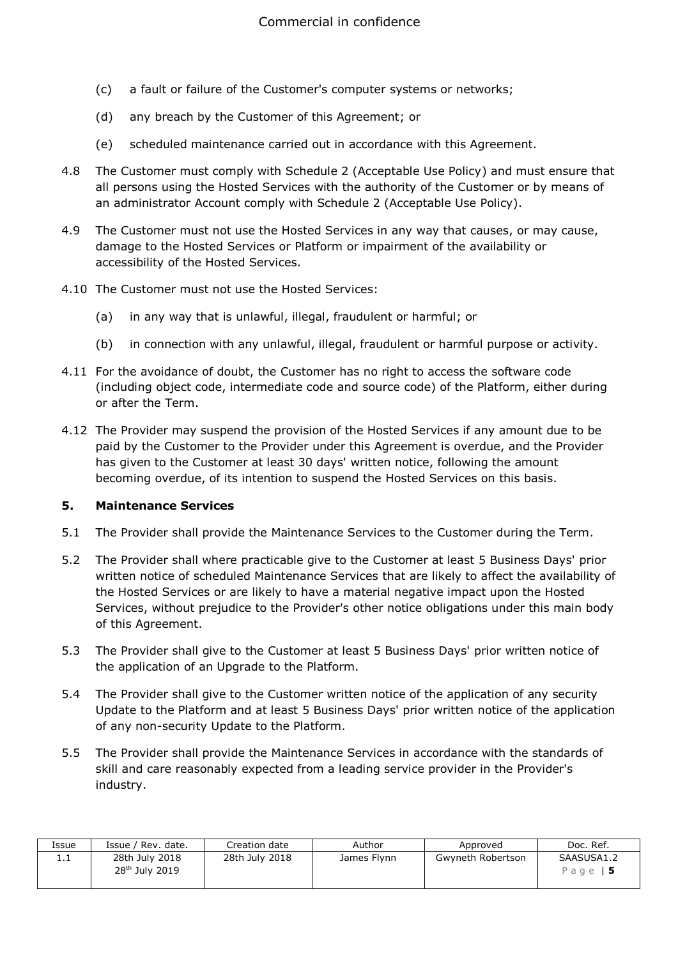- (c) a fault or failure of the Customer's computer systems or networks;
- (d) any breach by the Customer of this Agreement; or
- (e) scheduled maintenance carried out in accordance with this Agreement.
- 4.8 The Customer must comply with Schedule 2 (Acceptable Use Policy) and must ensure that all persons using the Hosted Services with the authority of the Customer or by means of an administrator Account comply with Schedule 2 (Acceptable Use Policy).
- 4.9 The Customer must not use the Hosted Services in any way that causes, or may cause, damage to the Hosted Services or Platform or impairment of the availability or accessibility of the Hosted Services.
- 4.10 The Customer must not use the Hosted Services:
	- (a) in any way that is unlawful, illegal, fraudulent or harmful; or
	- (b) in connection with any unlawful, illegal, fraudulent or harmful purpose or activity.
- 4.11 For the avoidance of doubt, the Customer has no right to access the software code (including object code, intermediate code and source code) of the Platform, either during or after the Term.
- 4.12 The Provider may suspend the provision of the Hosted Services if any amount due to be paid by the Customer to the Provider under this Agreement is overdue, and the Provider has given to the Customer at least 30 days' written notice, following the amount becoming overdue, of its intention to suspend the Hosted Services on this basis.

#### **5. Maintenance Services**

- 5.1 The Provider shall provide the Maintenance Services to the Customer during the Term.
- 5.2 The Provider shall where practicable give to the Customer at least 5 Business Days' prior written notice of scheduled Maintenance Services that are likely to affect the availability of the Hosted Services or are likely to have a material negative impact upon the Hosted Services, without prejudice to the Provider's other notice obligations under this main body of this Agreement.
- 5.3 The Provider shall give to the Customer at least 5 Business Days' prior written notice of the application of an Upgrade to the Platform.
- 5.4 The Provider shall give to the Customer written notice of the application of any security Update to the Platform and at least 5 Business Days' prior written notice of the application of any non-security Update to the Platform.
- 5.5 The Provider shall provide the Maintenance Services in accordance with the standards of skill and care reasonably expected from a leading service provider in the Provider's industry.

| Issue | Issue / Rev. date.                           | Creation date  | Author      | Approved          | Doc. Ref.              |
|-------|----------------------------------------------|----------------|-------------|-------------------|------------------------|
| ⊥.⊥   | 28th July 2018<br>28 <sup>th</sup> July 2019 | 28th July 2018 | James Flynn | Gwyneth Robertson | SAASUSA1.2<br>Page   5 |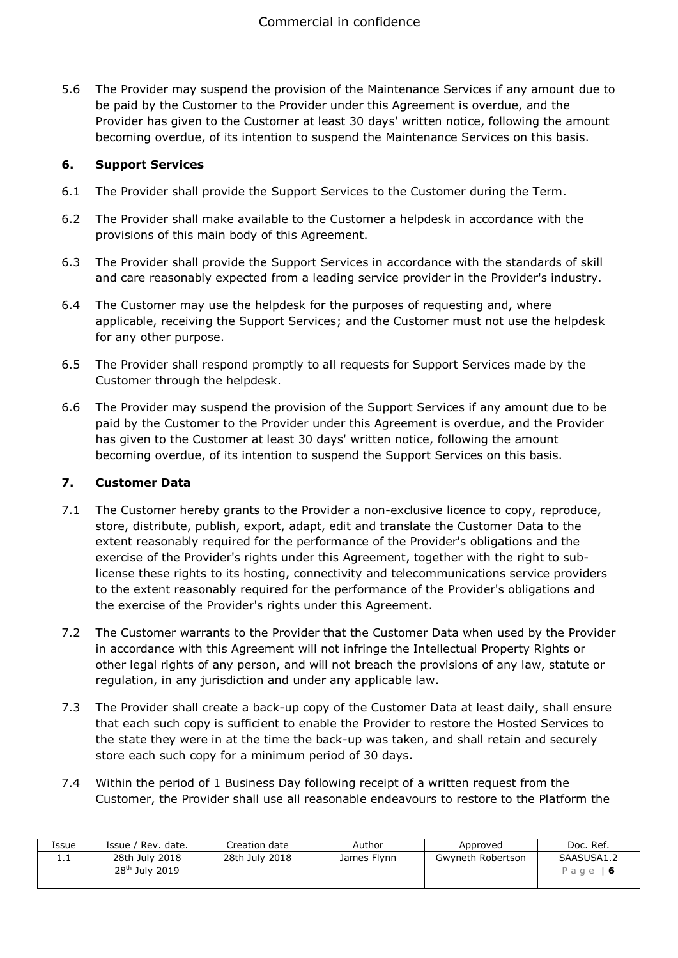5.6 The Provider may suspend the provision of the Maintenance Services if any amount due to be paid by the Customer to the Provider under this Agreement is overdue, and the Provider has given to the Customer at least 30 days' written notice, following the amount becoming overdue, of its intention to suspend the Maintenance Services on this basis.

# **6. Support Services**

- 6.1 The Provider shall provide the Support Services to the Customer during the Term.
- 6.2 The Provider shall make available to the Customer a helpdesk in accordance with the provisions of this main body of this Agreement.
- 6.3 The Provider shall provide the Support Services in accordance with the standards of skill and care reasonably expected from a leading service provider in the Provider's industry.
- 6.4 The Customer may use the helpdesk for the purposes of requesting and, where applicable, receiving the Support Services; and the Customer must not use the helpdesk for any other purpose.
- 6.5 The Provider shall respond promptly to all requests for Support Services made by the Customer through the helpdesk.
- 6.6 The Provider may suspend the provision of the Support Services if any amount due to be paid by the Customer to the Provider under this Agreement is overdue, and the Provider has given to the Customer at least 30 days' written notice, following the amount becoming overdue, of its intention to suspend the Support Services on this basis.

#### **7. Customer Data**

- 7.1 The Customer hereby grants to the Provider a non-exclusive licence to copy, reproduce, store, distribute, publish, export, adapt, edit and translate the Customer Data to the extent reasonably required for the performance of the Provider's obligations and the exercise of the Provider's rights under this Agreement, together with the right to sublicense these rights to its hosting, connectivity and telecommunications service providers to the extent reasonably required for the performance of the Provider's obligations and the exercise of the Provider's rights under this Agreement.
- 7.2 The Customer warrants to the Provider that the Customer Data when used by the Provider in accordance with this Agreement will not infringe the Intellectual Property Rights or other legal rights of any person, and will not breach the provisions of any law, statute or regulation, in any jurisdiction and under any applicable law.
- 7.3 The Provider shall create a back-up copy of the Customer Data at least daily, shall ensure that each such copy is sufficient to enable the Provider to restore the Hosted Services to the state they were in at the time the back-up was taken, and shall retain and securely store each such copy for a minimum period of 30 days.
- 7.4 Within the period of 1 Business Day following receipt of a written request from the Customer, the Provider shall use all reasonable endeavours to restore to the Platform the

| Issue    | Issue / Rev. date.                           | Creation date  | Author      | Approved          | Doc. Ref.                    |
|----------|----------------------------------------------|----------------|-------------|-------------------|------------------------------|
| <b>.</b> | 28th July 2018<br>28 <sup>th</sup> July 2019 | 28th July 2018 | James Flynn | Gwyneth Robertson | SAASUSA1.2<br>Page $\vert 6$ |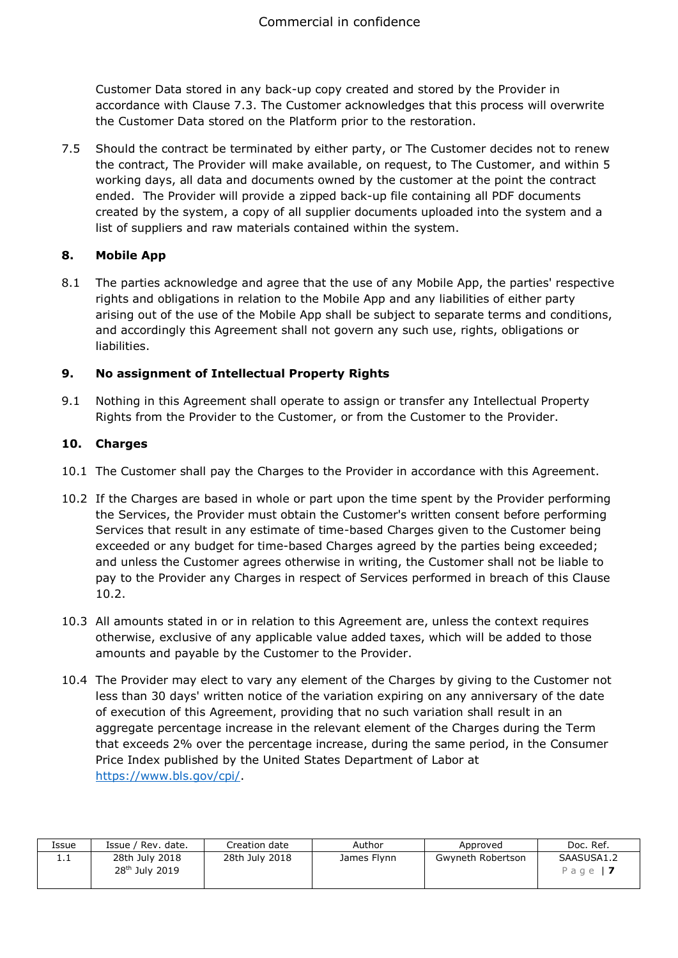Customer Data stored in any back-up copy created and stored by the Provider in accordance with Clause 7.3. The Customer acknowledges that this process will overwrite the Customer Data stored on the Platform prior to the restoration.

7.5 Should the contract be terminated by either party, or The Customer decides not to renew the contract, The Provider will make available, on request, to The Customer, and within 5 working days, all data and documents owned by the customer at the point the contract ended. The Provider will provide a zipped back-up file containing all PDF documents created by the system, a copy of all supplier documents uploaded into the system and a list of suppliers and raw materials contained within the system.

# **8. Mobile App**

8.1 The parties acknowledge and agree that the use of any Mobile App, the parties' respective rights and obligations in relation to the Mobile App and any liabilities of either party arising out of the use of the Mobile App shall be subject to separate terms and conditions, and accordingly this Agreement shall not govern any such use, rights, obligations or liabilities.

# **9. No assignment of Intellectual Property Rights**

9.1 Nothing in this Agreement shall operate to assign or transfer any Intellectual Property Rights from the Provider to the Customer, or from the Customer to the Provider.

# **10. Charges**

- 10.1 The Customer shall pay the Charges to the Provider in accordance with this Agreement.
- 10.2 If the Charges are based in whole or part upon the time spent by the Provider performing the Services, the Provider must obtain the Customer's written consent before performing Services that result in any estimate of time-based Charges given to the Customer being exceeded or any budget for time-based Charges agreed by the parties being exceeded; and unless the Customer agrees otherwise in writing, the Customer shall not be liable to pay to the Provider any Charges in respect of Services performed in breach of this Clause 10.2.
- 10.3 All amounts stated in or in relation to this Agreement are, unless the context requires otherwise, exclusive of any applicable value added taxes, which will be added to those amounts and payable by the Customer to the Provider.
- 10.4 The Provider may elect to vary any element of the Charges by giving to the Customer not less than 30 days' written notice of the variation expiring on any anniversary of the date of execution of this Agreement, providing that no such variation shall result in an aggregate percentage increase in the relevant element of the Charges during the Term that exceeds 2% over the percentage increase, during the same period, in the Consumer Price Index published by the United States Department of Labor at [https://www.bls.gov/cpi/.](https://www.bls.gov/cpi/)

| Issue | ' Rev. date.<br>Issue /                      | Creation date  | Author      | Approved          | Doc. Ref.              |
|-------|----------------------------------------------|----------------|-------------|-------------------|------------------------|
| .     | 28th July 2018<br>28 <sup>th</sup> July 2019 | 28th July 2018 | James Flynn | Gwyneth Robertson | SAASUSA1.2<br>Page   7 |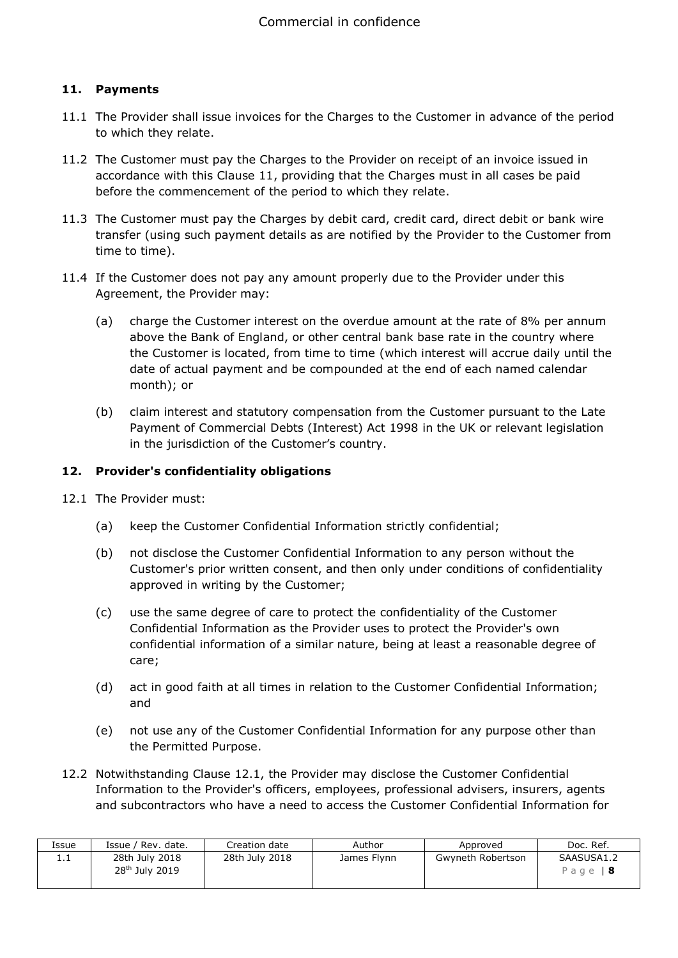# **11. Payments**

- 11.1 The Provider shall issue invoices for the Charges to the Customer in advance of the period to which they relate.
- 11.2 The Customer must pay the Charges to the Provider on receipt of an invoice issued in accordance with this Clause 11, providing that the Charges must in all cases be paid before the commencement of the period to which they relate.
- 11.3 The Customer must pay the Charges by debit card, credit card, direct debit or bank wire transfer (using such payment details as are notified by the Provider to the Customer from time to time).
- 11.4 If the Customer does not pay any amount properly due to the Provider under this Agreement, the Provider may:
	- (a) charge the Customer interest on the overdue amount at the rate of 8% per annum above the Bank of England, or other central bank base rate in the country where the Customer is located, from time to time (which interest will accrue daily until the date of actual payment and be compounded at the end of each named calendar month); or
	- (b) claim interest and statutory compensation from the Customer pursuant to the Late Payment of Commercial Debts (Interest) Act 1998 in the UK or relevant legislation in the jurisdiction of the Customer's country.

#### **12. Provider's confidentiality obligations**

- 12.1 The Provider must:
	- (a) keep the Customer Confidential Information strictly confidential;
	- (b) not disclose the Customer Confidential Information to any person without the Customer's prior written consent, and then only under conditions of confidentiality approved in writing by the Customer;
	- (c) use the same degree of care to protect the confidentiality of the Customer Confidential Information as the Provider uses to protect the Provider's own confidential information of a similar nature, being at least a reasonable degree of care;
	- (d) act in good faith at all times in relation to the Customer Confidential Information; and
	- (e) not use any of the Customer Confidential Information for any purpose other than the Permitted Purpose.
- 12.2 Notwithstanding Clause 12.1, the Provider may disclose the Customer Confidential Information to the Provider's officers, employees, professional advisers, insurers, agents and subcontractors who have a need to access the Customer Confidential Information for

| Issue | Issue / Rev. date.                           | Creation date  | Author      | Approved          | Doc. Ref.              |
|-------|----------------------------------------------|----------------|-------------|-------------------|------------------------|
| ⊥.⊥   | 28th July 2018<br>28 <sup>th</sup> July 2019 | 28th July 2018 | James Flynn | Gwyneth Robertson | SAASUSA1.2<br>Page   8 |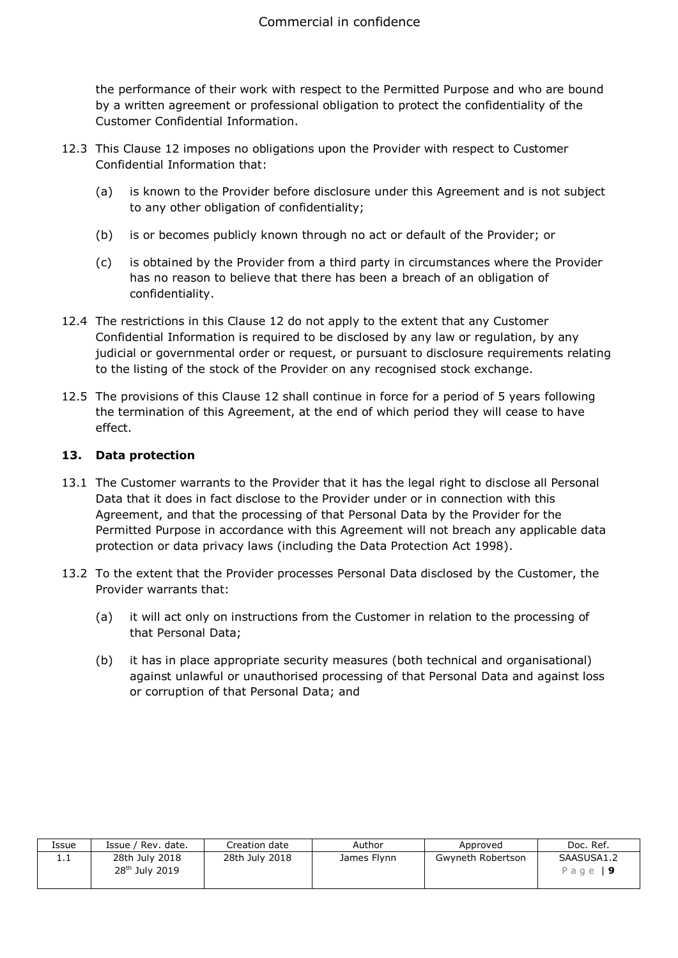the performance of their work with respect to the Permitted Purpose and who are bound by a written agreement or professional obligation to protect the confidentiality of the Customer Confidential Information.

- 12.3 This Clause 12 imposes no obligations upon the Provider with respect to Customer Confidential Information that:
	- (a) is known to the Provider before disclosure under this Agreement and is not subject to any other obligation of confidentiality;
	- (b) is or becomes publicly known through no act or default of the Provider; or
	- (c) is obtained by the Provider from a third party in circumstances where the Provider has no reason to believe that there has been a breach of an obligation of confidentiality.
- 12.4 The restrictions in this Clause 12 do not apply to the extent that any Customer Confidential Information is required to be disclosed by any law or regulation, by any judicial or governmental order or request, or pursuant to disclosure requirements relating to the listing of the stock of the Provider on any recognised stock exchange.
- 12.5 The provisions of this Clause 12 shall continue in force for a period of 5 years following the termination of this Agreement, at the end of which period they will cease to have effect.

# **13. Data protection**

- 13.1 The Customer warrants to the Provider that it has the legal right to disclose all Personal Data that it does in fact disclose to the Provider under or in connection with this Agreement, and that the processing of that Personal Data by the Provider for the Permitted Purpose in accordance with this Agreement will not breach any applicable data protection or data privacy laws (including the Data Protection Act 1998).
- 13.2 To the extent that the Provider processes Personal Data disclosed by the Customer, the Provider warrants that:
	- (a) it will act only on instructions from the Customer in relation to the processing of that Personal Data;
	- (b) it has in place appropriate security measures (both technical and organisational) against unlawful or unauthorised processing of that Personal Data and against loss or corruption of that Personal Data; and

| Issue    | Issue / Rev. date.                           | Creation date  | Author      | Approved          | Doc. Ref.              |
|----------|----------------------------------------------|----------------|-------------|-------------------|------------------------|
| <b>.</b> | 28th July 2018<br>28 <sup>th</sup> July 2019 | 28th July 2018 | James Flynn | Gwyneth Robertson | SAASUSA1.2<br>Page   9 |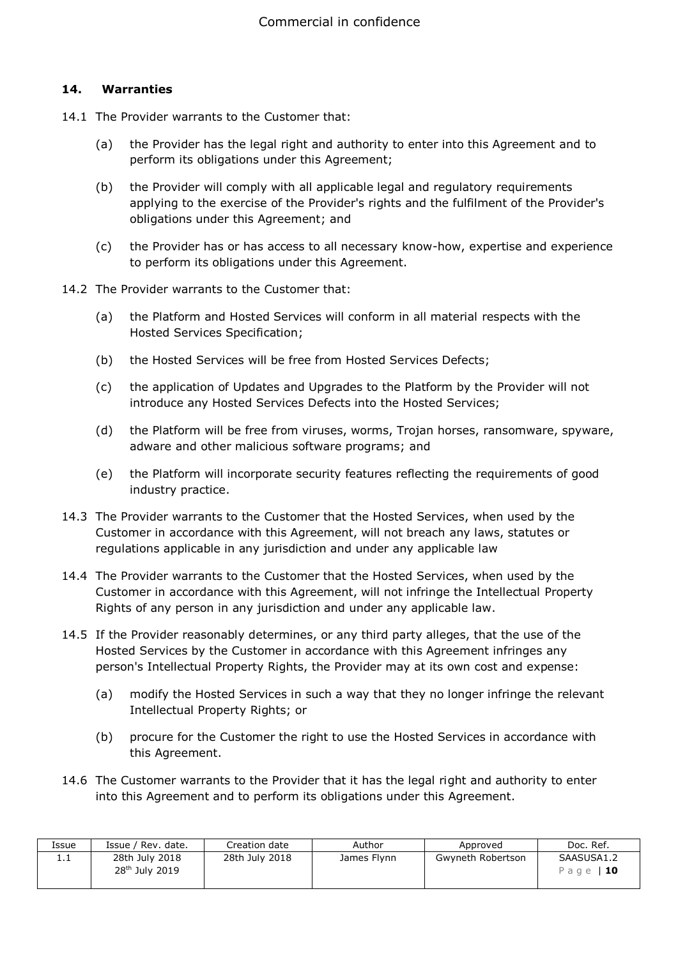#### **14. Warranties**

- 14.1 The Provider warrants to the Customer that:
	- (a) the Provider has the legal right and authority to enter into this Agreement and to perform its obligations under this Agreement;
	- (b) the Provider will comply with all applicable legal and regulatory requirements applying to the exercise of the Provider's rights and the fulfilment of the Provider's obligations under this Agreement; and
	- (c) the Provider has or has access to all necessary know-how, expertise and experience to perform its obligations under this Agreement.
- 14.2 The Provider warrants to the Customer that:
	- (a) the Platform and Hosted Services will conform in all material respects with the Hosted Services Specification;
	- (b) the Hosted Services will be free from Hosted Services Defects;
	- (c) the application of Updates and Upgrades to the Platform by the Provider will not introduce any Hosted Services Defects into the Hosted Services;
	- (d) the Platform will be free from viruses, worms, Trojan horses, ransomware, spyware, adware and other malicious software programs; and
	- (e) the Platform will incorporate security features reflecting the requirements of good industry practice.
- 14.3 The Provider warrants to the Customer that the Hosted Services, when used by the Customer in accordance with this Agreement, will not breach any laws, statutes or regulations applicable in any jurisdiction and under any applicable law
- 14.4 The Provider warrants to the Customer that the Hosted Services, when used by the Customer in accordance with this Agreement, will not infringe the Intellectual Property Rights of any person in any jurisdiction and under any applicable law.
- 14.5 If the Provider reasonably determines, or any third party alleges, that the use of the Hosted Services by the Customer in accordance with this Agreement infringes any person's Intellectual Property Rights, the Provider may at its own cost and expense:
	- (a) modify the Hosted Services in such a way that they no longer infringe the relevant Intellectual Property Rights; or
	- (b) procure for the Customer the right to use the Hosted Services in accordance with this Agreement.
- 14.6 The Customer warrants to the Provider that it has the legal right and authority to enter into this Agreement and to perform its obligations under this Agreement.

| Issue | Issue / Rev. date.                           | Creation date  | Author      | Approved          | Doc. Ref.               |
|-------|----------------------------------------------|----------------|-------------|-------------------|-------------------------|
| ⊥.⊥   | 28th July 2018<br>28 <sup>th</sup> July 2019 | 28th July 2018 | James Flynn | Gwyneth Robertson | SAASUSA1.2<br>Page   10 |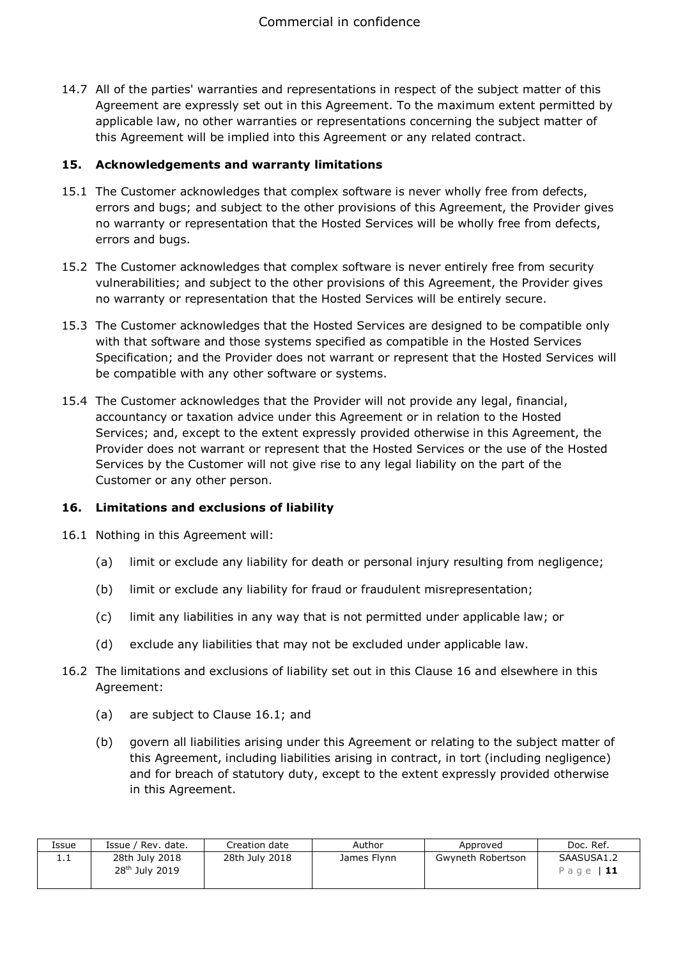14.7 All of the parties' warranties and representations in respect of the subject matter of this Agreement are expressly set out in this Agreement. To the maximum extent permitted by applicable law, no other warranties or representations concerning the subject matter of this Agreement will be implied into this Agreement or any related contract.

#### **15. Acknowledgements and warranty limitations**

- 15.1 The Customer acknowledges that complex software is never wholly free from defects, errors and bugs; and subject to the other provisions of this Agreement, the Provider gives no warranty or representation that the Hosted Services will be wholly free from defects, errors and bugs.
- 15.2 The Customer acknowledges that complex software is never entirely free from security vulnerabilities; and subject to the other provisions of this Agreement, the Provider gives no warranty or representation that the Hosted Services will be entirely secure.
- 15.3 The Customer acknowledges that the Hosted Services are designed to be compatible only with that software and those systems specified as compatible in the Hosted Services Specification; and the Provider does not warrant or represent that the Hosted Services will be compatible with any other software or systems.
- 15.4 The Customer acknowledges that the Provider will not provide any legal, financial, accountancy or taxation advice under this Agreement or in relation to the Hosted Services; and, except to the extent expressly provided otherwise in this Agreement, the Provider does not warrant or represent that the Hosted Services or the use of the Hosted Services by the Customer will not give rise to any legal liability on the part of the Customer or any other person.

# **16. Limitations and exclusions of liability**

- 16.1 Nothing in this Agreement will:
	- (a) limit or exclude any liability for death or personal injury resulting from negligence;
	- (b) limit or exclude any liability for fraud or fraudulent misrepresentation;
	- (c) limit any liabilities in any way that is not permitted under applicable law; or
	- (d) exclude any liabilities that may not be excluded under applicable law.
- 16.2 The limitations and exclusions of liability set out in this Clause 16 and elsewhere in this Agreement:
	- (a) are subject to Clause 16.1; and
	- (b) govern all liabilities arising under this Agreement or relating to the subject matter of this Agreement, including liabilities arising in contract, in tort (including negligence) and for breach of statutory duty, except to the extent expressly provided otherwise in this Agreement.

| Issue | . Rev. date / ٩<br>Issue /                   | Creation date  | Author      | Approved          | Doc. Ref.               |
|-------|----------------------------------------------|----------------|-------------|-------------------|-------------------------|
| 1. L  | 28th July 2018<br>28 <sup>th</sup> July 2019 | 28th July 2018 | James Flynn | Gwyneth Robertson | SAASUSA1.2<br>Page   11 |
|       |                                              |                |             |                   |                         |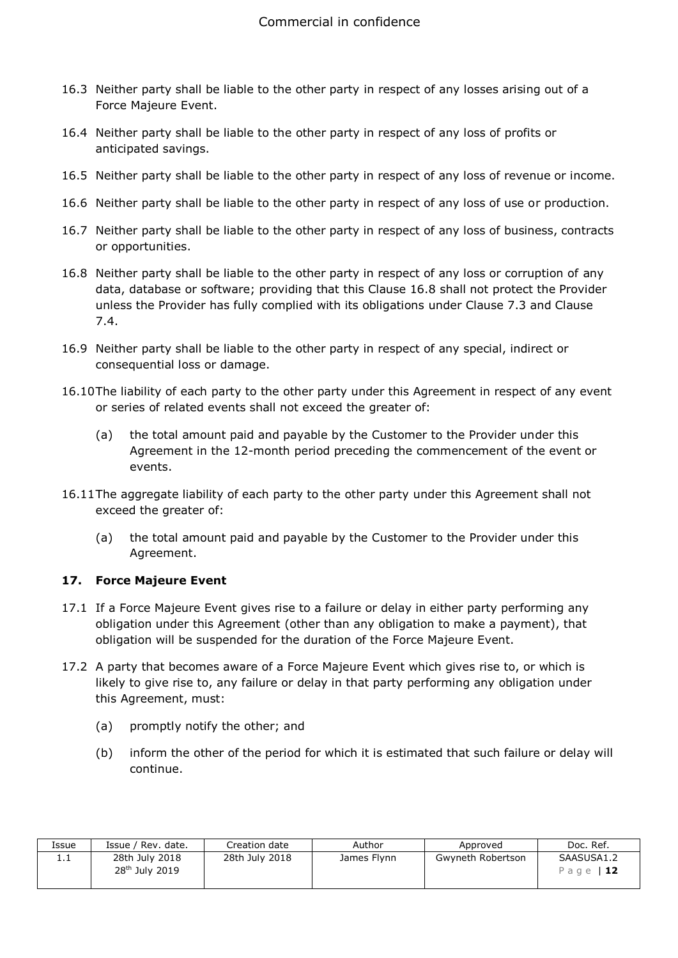- 16.3 Neither party shall be liable to the other party in respect of any losses arising out of a Force Majeure Event.
- 16.4 Neither party shall be liable to the other party in respect of any loss of profits or anticipated savings.
- 16.5 Neither party shall be liable to the other party in respect of any loss of revenue or income.
- 16.6 Neither party shall be liable to the other party in respect of any loss of use or production.
- 16.7 Neither party shall be liable to the other party in respect of any loss of business, contracts or opportunities.
- 16.8 Neither party shall be liable to the other party in respect of any loss or corruption of any data, database or software; providing that this Clause 16.8 shall not protect the Provider unless the Provider has fully complied with its obligations under Clause 7.3 and Clause 7.4.
- 16.9 Neither party shall be liable to the other party in respect of any special, indirect or consequential loss or damage.
- 16.10The liability of each party to the other party under this Agreement in respect of any event or series of related events shall not exceed the greater of:
	- (a) the total amount paid and payable by the Customer to the Provider under this Agreement in the 12-month period preceding the commencement of the event or events.
- 16.11The aggregate liability of each party to the other party under this Agreement shall not exceed the greater of:
	- (a) the total amount paid and payable by the Customer to the Provider under this Agreement.

# **17. Force Majeure Event**

- 17.1 If a Force Majeure Event gives rise to a failure or delay in either party performing any obligation under this Agreement (other than any obligation to make a payment), that obligation will be suspended for the duration of the Force Majeure Event.
- 17.2 A party that becomes aware of a Force Majeure Event which gives rise to, or which is likely to give rise to, any failure or delay in that party performing any obligation under this Agreement, must:
	- (a) promptly notify the other; and
	- (b) inform the other of the period for which it is estimated that such failure or delay will continue.

| Issue | Issue / Rev. date.                           | Creation date  | Author      | Approved          | Doc. Ref.               |
|-------|----------------------------------------------|----------------|-------------|-------------------|-------------------------|
| ⊥.⊥   | 28th July 2018<br>28 <sup>th</sup> July 2019 | 28th July 2018 | James Flynn | Gwyneth Robertson | SAASUSA1.2<br>Page   12 |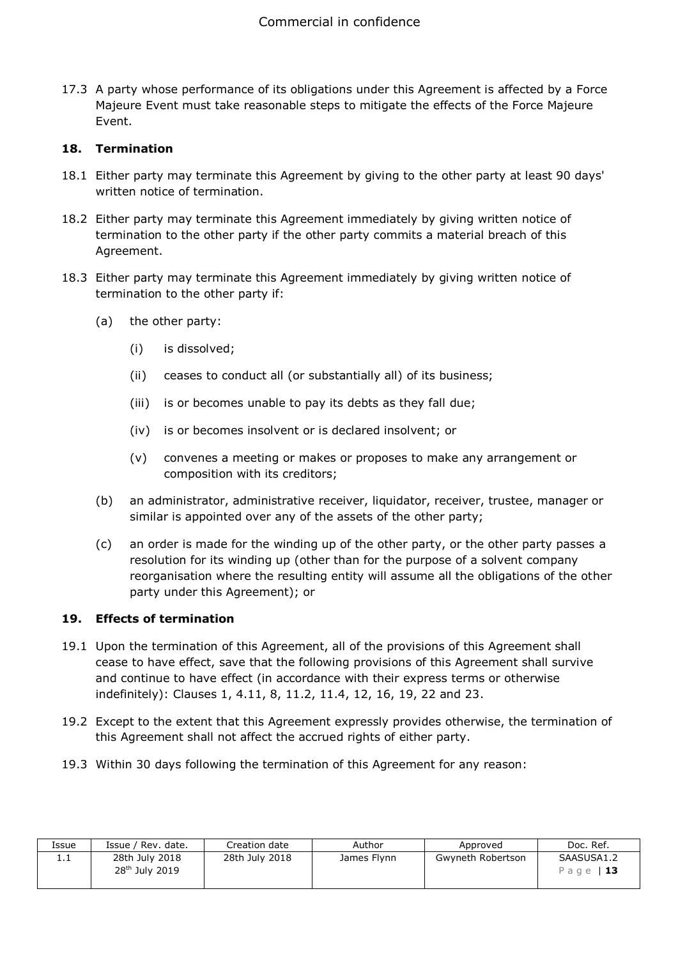17.3 A party whose performance of its obligations under this Agreement is affected by a Force Majeure Event must take reasonable steps to mitigate the effects of the Force Majeure Event.

# **18. Termination**

- 18.1 Either party may terminate this Agreement by giving to the other party at least 90 days' written notice of termination.
- 18.2 Either party may terminate this Agreement immediately by giving written notice of termination to the other party if the other party commits a material breach of this Agreement.
- 18.3 Either party may terminate this Agreement immediately by giving written notice of termination to the other party if:
	- (a) the other party:
		- (i) is dissolved;
		- (ii) ceases to conduct all (or substantially all) of its business;
		- (iii) is or becomes unable to pay its debts as they fall due;
		- (iv) is or becomes insolvent or is declared insolvent; or
		- (v) convenes a meeting or makes or proposes to make any arrangement or composition with its creditors;
	- (b) an administrator, administrative receiver, liquidator, receiver, trustee, manager or similar is appointed over any of the assets of the other party;
	- (c) an order is made for the winding up of the other party, or the other party passes a resolution for its winding up (other than for the purpose of a solvent company reorganisation where the resulting entity will assume all the obligations of the other party under this Agreement); or

#### **19. Effects of termination**

- 19.1 Upon the termination of this Agreement, all of the provisions of this Agreement shall cease to have effect, save that the following provisions of this Agreement shall survive and continue to have effect (in accordance with their express terms or otherwise indefinitely): Clauses 1, 4.11, 8, 11.2, 11.4, 12, 16, 19, 22 and 23.
- 19.2 Except to the extent that this Agreement expressly provides otherwise, the termination of this Agreement shall not affect the accrued rights of either party.
- 19.3 Within 30 days following the termination of this Agreement for any reason:

| Issue    | Issue / Rev. date.                           | Creation date  | Author      | Approved          | Doc. Ref.               |
|----------|----------------------------------------------|----------------|-------------|-------------------|-------------------------|
| <b>.</b> | 28th July 2018<br>28 <sup>th</sup> July 2019 | 28th July 2018 | James Flynn | Gwyneth Robertson | SAASUSA1.2<br>Page   13 |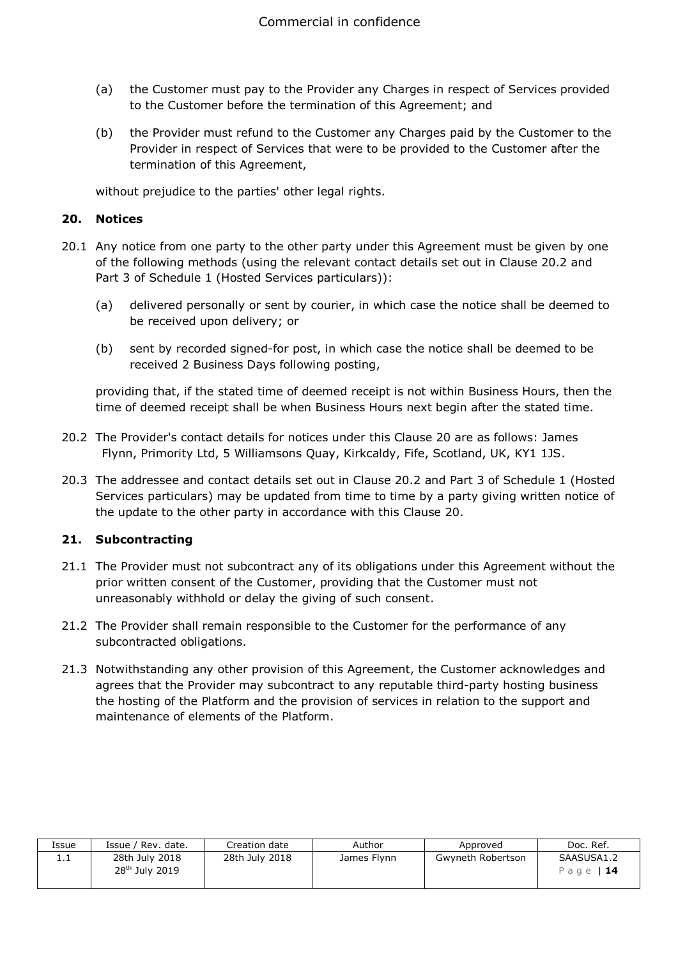- (a) the Customer must pay to the Provider any Charges in respect of Services provided to the Customer before the termination of this Agreement; and
- (b) the Provider must refund to the Customer any Charges paid by the Customer to the Provider in respect of Services that were to be provided to the Customer after the termination of this Agreement,

without prejudice to the parties' other legal rights.

#### **20. Notices**

- 20.1 Any notice from one party to the other party under this Agreement must be given by one of the following methods (using the relevant contact details set out in Clause 20.2 and Part 3 of Schedule 1 (Hosted Services particulars)):
	- (a) delivered personally or sent by courier, in which case the notice shall be deemed to be received upon delivery; or
	- (b) sent by recorded signed-for post, in which case the notice shall be deemed to be received 2 Business Days following posting,

providing that, if the stated time of deemed receipt is not within Business Hours, then the time of deemed receipt shall be when Business Hours next begin after the stated time.

- 20.2 The Provider's contact details for notices under this Clause 20 are as follows: James Flynn, Primority Ltd, 5 Williamsons Quay, Kirkcaldy, Fife, Scotland, UK, KY1 1JS.
- 20.3 The addressee and contact details set out in Clause 20.2 and Part 3 of Schedule 1 (Hosted Services particulars) may be updated from time to time by a party giving written notice of the update to the other party in accordance with this Clause 20.

# **21. Subcontracting**

- 21.1 The Provider must not subcontract any of its obligations under this Agreement without the prior written consent of the Customer, providing that the Customer must not unreasonably withhold or delay the giving of such consent.
- 21.2 The Provider shall remain responsible to the Customer for the performance of any subcontracted obligations.
- 21.3 Notwithstanding any other provision of this Agreement, the Customer acknowledges and agrees that the Provider may subcontract to any reputable third-party hosting business the hosting of the Platform and the provision of services in relation to the support and maintenance of elements of the Platform.

| Issue | Issue / Rev. date.                           | Creation date  | Author      | Approved          | Doc. Ref.               |
|-------|----------------------------------------------|----------------|-------------|-------------------|-------------------------|
| 1. L  | 28th July 2018<br>28 <sup>th</sup> July 2019 | 28th July 2018 | James Flynn | Gwyneth Robertson | SAASUSA1.2<br>Page   14 |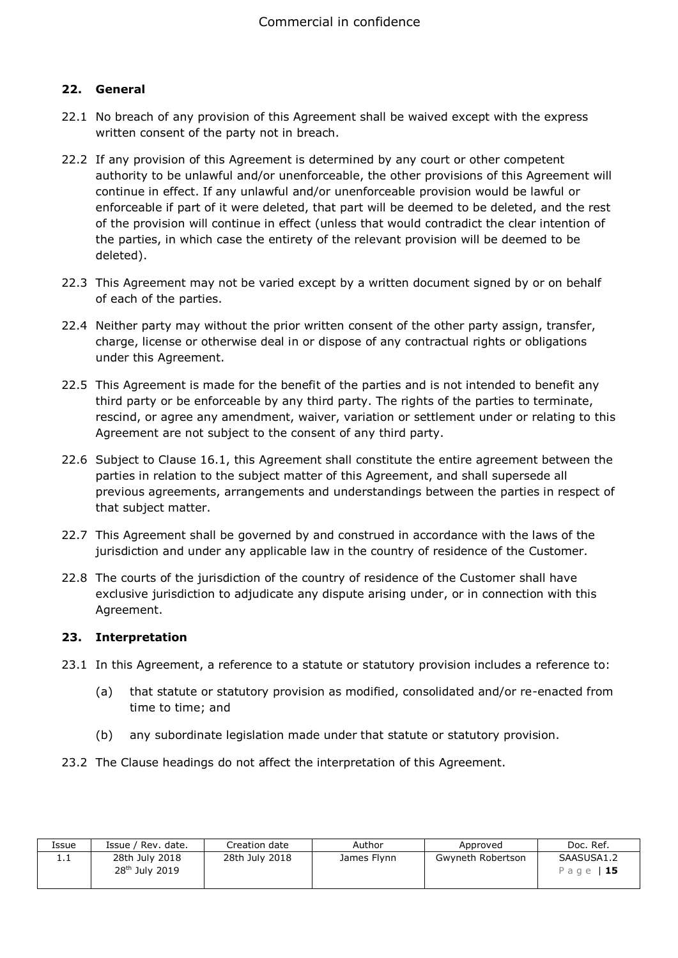## **22. General**

- 22.1 No breach of any provision of this Agreement shall be waived except with the express written consent of the party not in breach.
- 22.2 If any provision of this Agreement is determined by any court or other competent authority to be unlawful and/or unenforceable, the other provisions of this Agreement will continue in effect. If any unlawful and/or unenforceable provision would be lawful or enforceable if part of it were deleted, that part will be deemed to be deleted, and the rest of the provision will continue in effect (unless that would contradict the clear intention of the parties, in which case the entirety of the relevant provision will be deemed to be deleted).
- 22.3 This Agreement may not be varied except by a written document signed by or on behalf of each of the parties.
- 22.4 Neither party may without the prior written consent of the other party assign, transfer, charge, license or otherwise deal in or dispose of any contractual rights or obligations under this Agreement.
- 22.5 This Agreement is made for the benefit of the parties and is not intended to benefit any third party or be enforceable by any third party. The rights of the parties to terminate, rescind, or agree any amendment, waiver, variation or settlement under or relating to this Agreement are not subject to the consent of any third party.
- 22.6 Subject to Clause 16.1, this Agreement shall constitute the entire agreement between the parties in relation to the subject matter of this Agreement, and shall supersede all previous agreements, arrangements and understandings between the parties in respect of that subject matter.
- 22.7 This Agreement shall be governed by and construed in accordance with the laws of the jurisdiction and under any applicable law in the country of residence of the Customer.
- 22.8 The courts of the jurisdiction of the country of residence of the Customer shall have exclusive jurisdiction to adjudicate any dispute arising under, or in connection with this Agreement.

#### **23. Interpretation**

- 23.1 In this Agreement, a reference to a statute or statutory provision includes a reference to:
	- (a) that statute or statutory provision as modified, consolidated and/or re-enacted from time to time; and
	- (b) any subordinate legislation made under that statute or statutory provision.
- 23.2 The Clause headings do not affect the interpretation of this Agreement.

| Issue | Issue / Rev. date.                           | Creation date  | Author      | Approved          | Doc. Ref.               |
|-------|----------------------------------------------|----------------|-------------|-------------------|-------------------------|
| 1.1   | 28th July 2018<br>28 <sup>th</sup> July 2019 | 28th July 2018 | James Flynn | Gwyneth Robertson | SAASUSA1.2<br>Page   15 |
|       |                                              |                |             |                   |                         |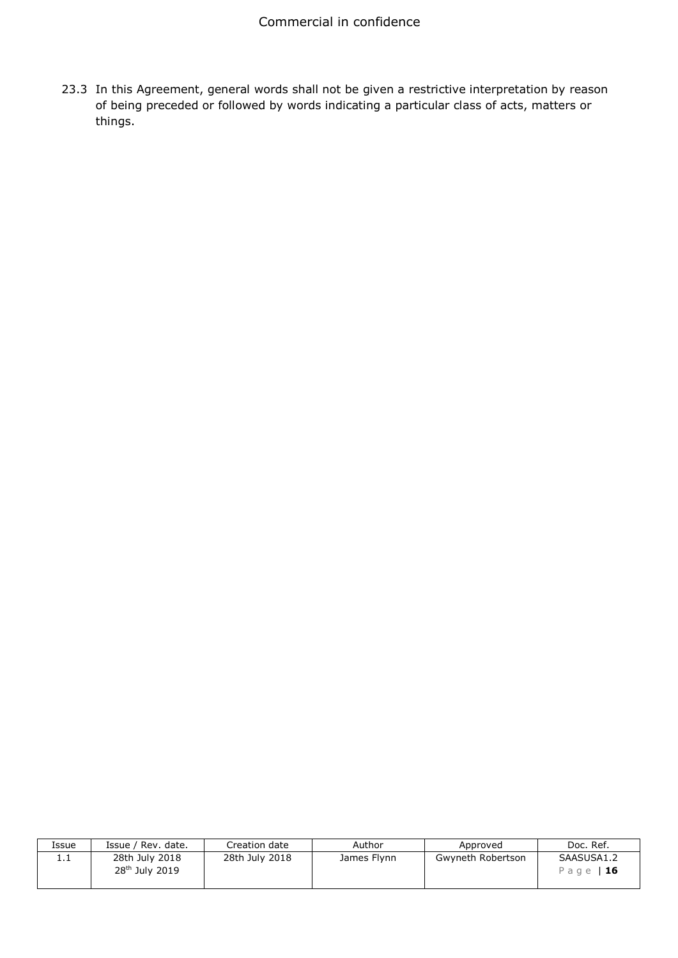23.3 In this Agreement, general words shall not be given a restrictive interpretation by reason of being preceded or followed by words indicating a particular class of acts, matters or things.

| Issue    | Issue / Rev. date.                           | Creation date  | Author      | Approved          | Doc. Ref.               |
|----------|----------------------------------------------|----------------|-------------|-------------------|-------------------------|
| <b>.</b> | 28th July 2018<br>28 <sup>th</sup> July 2019 | 28th July 2018 | James Flynn | Gwyneth Robertson | SAASUSA1.2<br>Page   16 |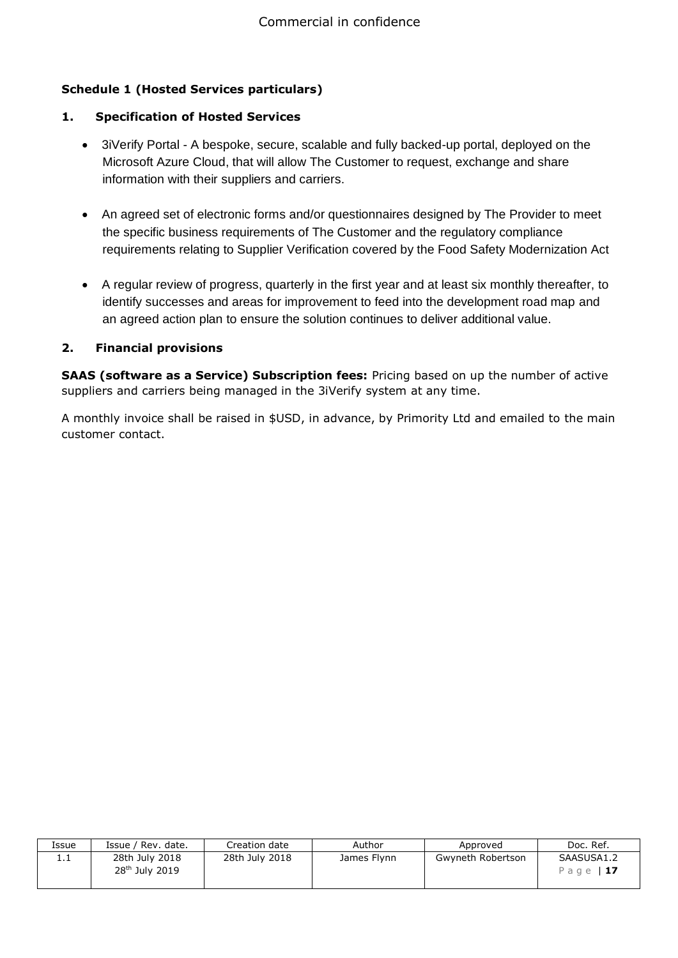# **Schedule 1 (Hosted Services particulars)**

## **1. Specification of Hosted Services**

- 3iVerify Portal A bespoke, secure, scalable and fully backed-up portal, deployed on the Microsoft Azure Cloud, that will allow The Customer to request, exchange and share information with their suppliers and carriers.
- An agreed set of electronic forms and/or questionnaires designed by The Provider to meet the specific business requirements of The Customer and the regulatory compliance requirements relating to Supplier Verification covered by the Food Safety Modernization Act
- A regular review of progress, quarterly in the first year and at least six monthly thereafter, to identify successes and areas for improvement to feed into the development road map and an agreed action plan to ensure the solution continues to deliver additional value.

# **2. Financial provisions**

**SAAS (software as a Service) Subscription fees:** Pricing based on up the number of active suppliers and carriers being managed in the 3iVerify system at any time.

A monthly invoice shall be raised in \$USD, in advance, by Primority Ltd and emailed to the main customer contact.

| Issue    | Issue / Rev. date.                           | Creation date  | Author      | Approved          | Doc. Ref.               |
|----------|----------------------------------------------|----------------|-------------|-------------------|-------------------------|
| <b>.</b> | 28th July 2018<br>28 <sup>th</sup> July 2019 | 28th July 2018 | James Flynn | Gwyneth Robertson | SAASUSA1.2<br>Page   17 |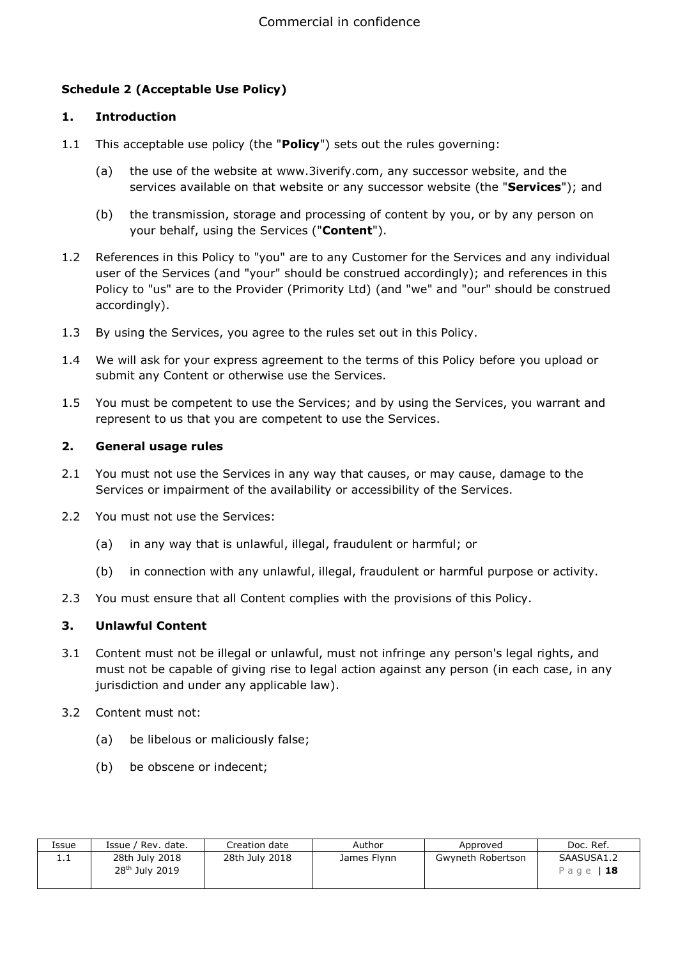# **Schedule 2 (Acceptable Use Policy)**

#### **1. Introduction**

- 1.1 This acceptable use policy (the "**Policy**") sets out the rules governing:
	- (a) the use of the website at www.3iverify.com, any successor website, and the services available on that website or any successor website (the "**Services**"); and
	- (b) the transmission, storage and processing of content by you, or by any person on your behalf, using the Services ("**Content**").
- 1.2 References in this Policy to "you" are to any Customer for the Services and any individual user of the Services (and "your" should be construed accordingly); and references in this Policy to "us" are to the Provider (Primority Ltd) (and "we" and "our" should be construed accordingly).
- 1.3 By using the Services, you agree to the rules set out in this Policy.
- 1.4 We will ask for your express agreement to the terms of this Policy before you upload or submit any Content or otherwise use the Services.
- 1.5 You must be competent to use the Services; and by using the Services, you warrant and represent to us that you are competent to use the Services.

#### **2. General usage rules**

- 2.1 You must not use the Services in any way that causes, or may cause, damage to the Services or impairment of the availability or accessibility of the Services.
- 2.2 You must not use the Services:
	- (a) in any way that is unlawful, illegal, fraudulent or harmful; or
	- (b) in connection with any unlawful, illegal, fraudulent or harmful purpose or activity.
- 2.3 You must ensure that all Content complies with the provisions of this Policy.

# **3. Unlawful Content**

- 3.1 Content must not be illegal or unlawful, must not infringe any person's legal rights, and must not be capable of giving rise to legal action against any person (in each case, in any jurisdiction and under any applicable law).
- 3.2 Content must not:
	- (a) be libelous or maliciously false;
	- (b) be obscene or indecent;

| Issue    | Issue / Rev. date.                           | Creation date  | Author      | Approved          | Doc. Ref.               |
|----------|----------------------------------------------|----------------|-------------|-------------------|-------------------------|
| <b>.</b> | 28th July 2018<br>28 <sup>th</sup> July 2019 | 28th July 2018 | James Flynn | Gwyneth Robertson | SAASUSA1.2<br>Page   18 |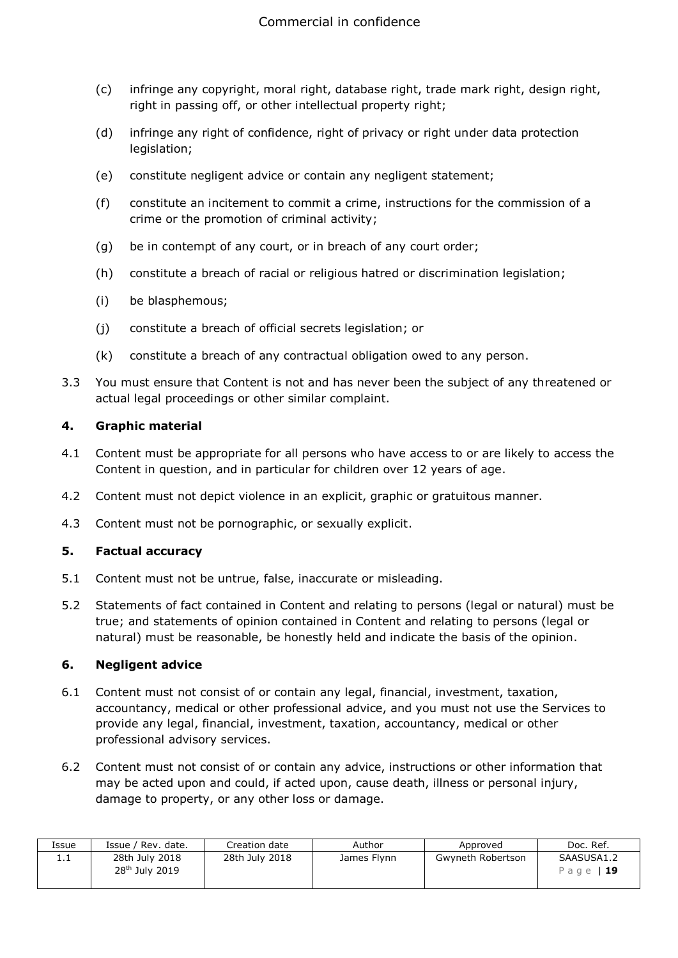- (c) infringe any copyright, moral right, database right, trade mark right, design right, right in passing off, or other intellectual property right;
- (d) infringe any right of confidence, right of privacy or right under data protection legislation;
- (e) constitute negligent advice or contain any negligent statement;
- (f) constitute an incitement to commit a crime, instructions for the commission of a crime or the promotion of criminal activity;
- (g) be in contempt of any court, or in breach of any court order;
- (h) constitute a breach of racial or religious hatred or discrimination legislation;
- (i) be blasphemous;
- (j) constitute a breach of official secrets legislation; or
- (k) constitute a breach of any contractual obligation owed to any person.
- 3.3 You must ensure that Content is not and has never been the subject of any threatened or actual legal proceedings or other similar complaint.

#### **4. Graphic material**

- 4.1 Content must be appropriate for all persons who have access to or are likely to access the Content in question, and in particular for children over 12 years of age.
- 4.2 Content must not depict violence in an explicit, graphic or gratuitous manner.
- 4.3 Content must not be pornographic, or sexually explicit.

# **5. Factual accuracy**

- 5.1 Content must not be untrue, false, inaccurate or misleading.
- 5.2 Statements of fact contained in Content and relating to persons (legal or natural) must be true; and statements of opinion contained in Content and relating to persons (legal or natural) must be reasonable, be honestly held and indicate the basis of the opinion.

#### **6. Negligent advice**

- 6.1 Content must not consist of or contain any legal, financial, investment, taxation, accountancy, medical or other professional advice, and you must not use the Services to provide any legal, financial, investment, taxation, accountancy, medical or other professional advisory services.
- 6.2 Content must not consist of or contain any advice, instructions or other information that may be acted upon and could, if acted upon, cause death, illness or personal injury, damage to property, or any other loss or damage.

| Issue | Issue /<br>' Rev. date.                      | Creation date  | Author      | Approved          | Doc. Ref.               |
|-------|----------------------------------------------|----------------|-------------|-------------------|-------------------------|
| ⊥.⊥   | 28th July 2018<br>28 <sup>th</sup> July 2019 | 28th July 2018 | James Flynn | Gwyneth Robertson | SAASUSA1.2<br>Page   19 |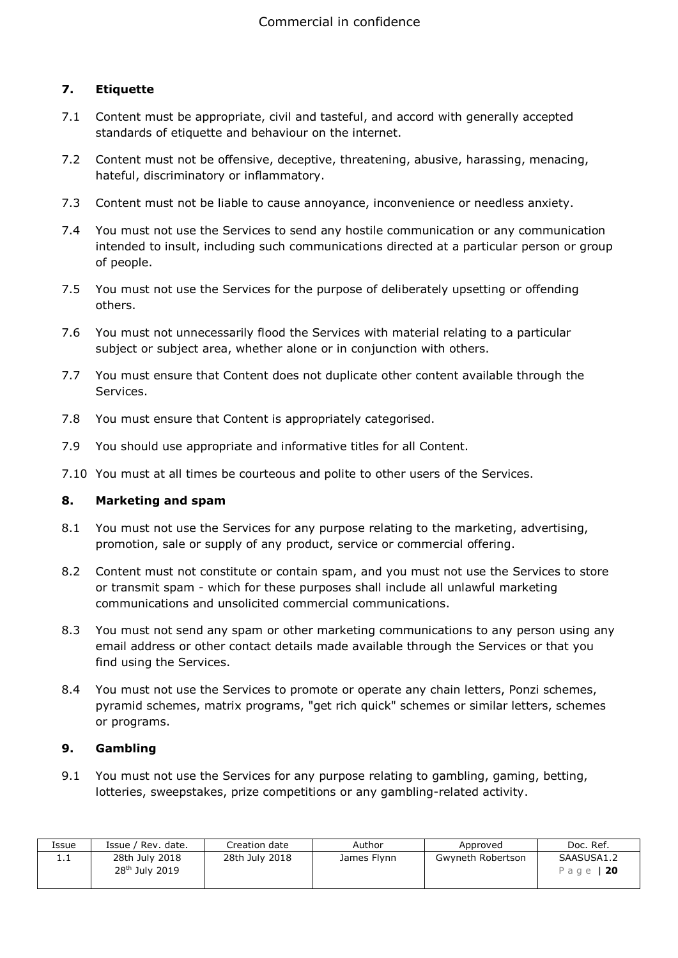# **7. Etiquette**

- 7.1 Content must be appropriate, civil and tasteful, and accord with generally accepted standards of etiquette and behaviour on the internet.
- 7.2 Content must not be offensive, deceptive, threatening, abusive, harassing, menacing, hateful, discriminatory or inflammatory.
- 7.3 Content must not be liable to cause annoyance, inconvenience or needless anxiety.
- 7.4 You must not use the Services to send any hostile communication or any communication intended to insult, including such communications directed at a particular person or group of people.
- 7.5 You must not use the Services for the purpose of deliberately upsetting or offending others.
- 7.6 You must not unnecessarily flood the Services with material relating to a particular subject or subject area, whether alone or in conjunction with others.
- 7.7 You must ensure that Content does not duplicate other content available through the Services.
- 7.8 You must ensure that Content is appropriately categorised.
- 7.9 You should use appropriate and informative titles for all Content.
- 7.10 You must at all times be courteous and polite to other users of the Services.

#### **8. Marketing and spam**

- 8.1 You must not use the Services for any purpose relating to the marketing, advertising, promotion, sale or supply of any product, service or commercial offering.
- 8.2 Content must not constitute or contain spam, and you must not use the Services to store or transmit spam - which for these purposes shall include all unlawful marketing communications and unsolicited commercial communications.
- 8.3 You must not send any spam or other marketing communications to any person using any email address or other contact details made available through the Services or that you find using the Services.
- 8.4 You must not use the Services to promote or operate any chain letters, Ponzi schemes, pyramid schemes, matrix programs, "get rich quick" schemes or similar letters, schemes or programs.

# **9. Gambling**

9.1 You must not use the Services for any purpose relating to gambling, gaming, betting, lotteries, sweepstakes, prize competitions or any gambling-related activity.

| Issue | Issue / Rev. date.                           | Creation date  | Author      | Approved          | Doc. Ref.              |
|-------|----------------------------------------------|----------------|-------------|-------------------|------------------------|
| .     | 28th July 2018<br>28 <sup>th</sup> July 2019 | 28th July 2018 | James Flynn | Gwyneth Robertson | SAASUSA1.2<br>Page 120 |